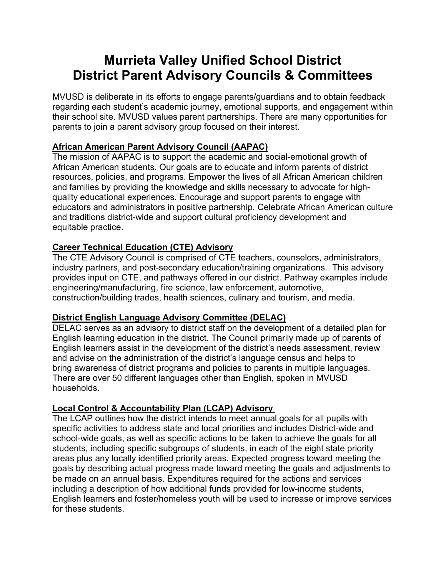# **Murrieta Valley Unified School District District Parent Advisory Councils & Committees**

MVUSD is deliberate in its efforts to engage parents/guardians and to obtain feedback regarding each student's academic journey, emotional supports, and engagement within their school site. MVUSD values parent partnerships. There are many opportunities for parents to join a parent advisory group focused on their interest.

# **African American Parent Advisory Council (AAPAC)**

The mission of AAPAC is to support the academic and social-emotional growth of African American students. Our goals are to educate and inform parents of district resources, policies, and programs. Empower the lives of all African American children and families by providing the knowledge and skills necessary to advocate for highquality educational experiences. Encourage and support parents to engage with educators and administrators in positive partnership. Celebrate African American culture and traditions district-wide and support cultural proficiency development and equitable practice.

## **Career Technical Education (CTE) Advisory**

The CTE Advisory Council is comprised of CTE teachers, counselors, administrators, industry partners, and post-secondary education/training organizations. This advisory provides input on CTE, and pathways offered in our district. Pathway examples include engineering/manufacturing, fire science, law enforcement, automotive, construction/building trades, health sciences, culinary and tourism, and media.

## **District English Language Advisory Committee (DELAC)**

DELAC serves as an advisory to district staff on the development of a detailed plan for English learning education in the district. The Council primarily made up of parents of English learners assist in the development of the district's needs assessment, review and advise on the administration of the district's language census and helps to bring awareness of district programs and policies to parents in multiple languages. There are over 50 different languages other than English, spoken in MVUSD households.

## **Local Control & Accountability Plan (LCAP) Advisory**

The LCAP outlines how the district intends to meet annual goals for all pupils with specific activities to address state and local priorities and includes District-wide and school-wide goals, as well as specific actions to be taken to achieve the goals for all students, including specific subgroups of students, in each of the eight state priority areas plus any locally identified priority areas. Expected progress toward meeting the goals by describing actual progress made toward meeting the goals and adjustments to be made on an annual basis. Expenditures required for the actions and services including a description of how additional funds provided for low-income students, English learners and foster/homeless youth will be used to increase or improve services for these students.